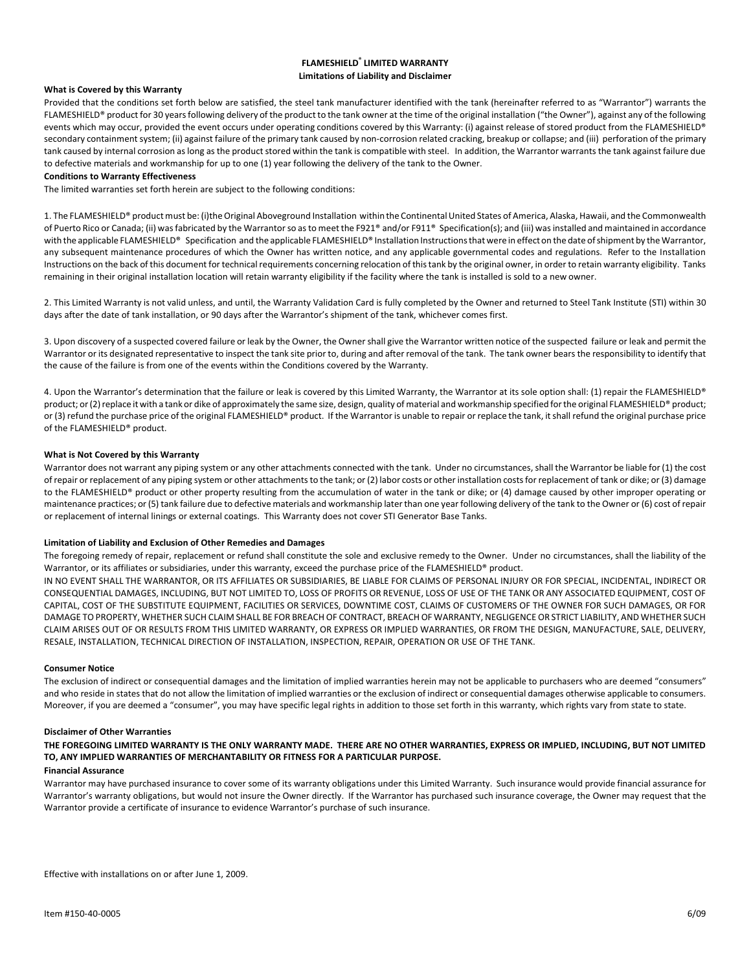# **FLAMESHIELD ® LIMITED WARRANTY Limitations of Liability and Disclaimer**

# **What is Covered by this Warranty**

Provided that the conditions set forth below are satisfied, the steel tank manufacturer identified with the tank (hereinafter referred to as "Warrantor") warrants the FLAMESHIELD® product for 30 years following delivery of the product to the tank owner at the time of the original installation ("the Owner"), against any of the following events which may occur, provided the event occurs under operating conditions covered by this Warranty: (i) against release of stored product from the FLAMESHIELD® secondary containment system; (ii) against failure of the primary tank caused by non-corrosion related cracking, breakup or collapse; and (iii) perforation of the primary tank caused by internal corrosion as long as the product stored within the tank is compatible with steel. In addition, the Warrantor warrants the tank against failure due to defective materials and workmanship for up to one (1) year following the delivery of the tank to the Owner.

## **Conditions to Warranty Effectiveness**

The limited warranties set forth herein are subject to the following conditions:

1. The FLAMESHIELD® product must be: (i)the Original Aboveground Installation within the Continental United States of America, Alaska, Hawaii, and the Commonwealth of Puerto Rico or Canada; (ii) was fabricated by the Warrantor so as to meet the F921® and/or F911® Specification(s); and (iii) was installed and maintained in accordance with the applicable FLAMESHIELD® Specification and the applicable FLAMESHIELD® Installation Instructions that were in effect on the date of shipment by the Warrantor, any subsequent maintenance procedures of which the Owner has written notice, and any applicable governmental codes and regulations. Refer to the Installation Instructions on the back of this document for technical requirements concerning relocation of this tank by the original owner, in order to retain warranty eligibility. Tanks remaining in their original installation location will retain warranty eligibility if the facility where the tank is installed is sold to a new owner.

2. This Limited Warranty is not valid unless, and until, the Warranty Validation Card is fully completed by the Owner and returned to Steel Tank Institute (STI) within 30 days after the date of tank installation, or 90 days after the Warrantor's shipment of the tank, whichever comes first.

3. Upon discovery of a suspected covered failure or leak by the Owner, the Owner shall give the Warrantor written notice of the suspected failure or leak and permit the Warrantor or its designated representative to inspect the tank site prior to, during and after removal of the tank. The tank owner bears the responsibility to identify that the cause of the failure is from one of the events within the Conditions covered by the Warranty.

4. Upon the Warrantor's determination that the failure or leak is covered by this Limited Warranty, the Warrantor at its sole option shall: (1) repair the FLAMESHIELD® product; or (2) replace it with a tank or dike of approximately the same size, design, quality of material and workmanship specified for the original FLAMESHIELD® product; or (3) refund the purchase price of the original FLAMESHIELD® product. If the Warrantor is unable to repair or replace the tank, it shall refund the original purchase price of the FLAMESHIELD® product.

# **What is Not Covered by this Warranty**

Warrantor does not warrant any piping system or any other attachments connected with the tank. Under no circumstances, shall the Warrantor be liable for (1) the cost of repair or replacement of any piping system or other attachments to the tank; or (2) labor costs or other installation costs for replacement of tank or dike; or (3) damage to the FLAMESHIELD® product or other property resulting from the accumulation of water in the tank or dike; or (4) damage caused by other improper operating or maintenance practices; or(5) tank failure due to defective materials and workmanship later than one year following delivery of the tank to the Owner or (6) cost of repair or replacement of internal linings or external coatings. This Warranty does not cover STI Generator Base Tanks.

## **Limitation of Liability and Exclusion of Other Remedies and Damages**

The foregoing remedy of repair, replacement or refund shall constitute the sole and exclusive remedy to the Owner. Under no circumstances, shall the liability of the Warrantor, or its affiliates or subsidiaries, under this warranty, exceed the purchase price of the FLAMESHIELD® product.

IN NO EVENT SHALL THE WARRANTOR, OR ITS AFFILIATES OR SUBSIDIARIES, BE LIABLE FOR CLAIMS OF PERSONAL INJURY OR FOR SPECIAL, INCIDENTAL, INDIRECT OR CONSEQUENTIAL DAMAGES, INCLUDING, BUT NOT LIMITED TO, LOSS OF PROFITS OR REVENUE, LOSS OF USE OF THE TANK OR ANY ASSOCIATED EQUIPMENT, COST OF CAPITAL, COST OF THE SUBSTITUTE EQUIPMENT, FACILITIES OR SERVICES, DOWNTIME COST, CLAIMS OF CUSTOMERS OF THE OWNER FOR SUCH DAMAGES, OR FOR DAMAGE TO PROPERTY, WHETHER SUCH CLAIM SHALL BE FOR BREACH OF CONTRACT, BREACH OF WARRANTY, NEGLIGENCE OR STRICT LIABILITY, AND WHETHER SUCH CLAIM ARISES OUT OF OR RESULTS FROM THIS LIMITED WARRANTY, OR EXPRESS OR IMPLIED WARRANTIES, OR FROM THE DESIGN, MANUFACTURE, SALE, DELIVERY, RESALE, INSTALLATION, TECHNICAL DIRECTION OF INSTALLATION, INSPECTION, REPAIR, OPERATION OR USE OF THE TANK.

## **Consumer Notice**

The exclusion of indirect or consequential damages and the limitation of implied warranties herein may not be applicable to purchasers who are deemed "consumers" and who reside in states that do not allow the limitation of implied warranties or the exclusion of indirect or consequential damages otherwise applicable to consumers. Moreover, if you are deemed a "consumer", you may have specific legal rights in addition to those set forth in this warranty, which rights vary from state to state.

# **Disclaimer of Other Warranties**

**THE FOREGOING LIMITED WARRANTY IS THE ONLY WARRANTY MADE. THERE ARE NO OTHER WARRANTIES, EXPRESS OR IMPLIED, INCLUDING, BUT NOT LIMITED TO, ANY IMPLIED WARRANTIES OF MERCHANTABILITY OR FITNESS FOR A PARTICULAR PURPOSE.** 

# **Financial Assurance**

Warrantor may have purchased insurance to cover some of its warranty obligations under this Limited Warranty. Such insurance would provide financial assurance for Warrantor's warranty obligations, but would not insure the Owner directly. If the Warrantor has purchased such insurance coverage, the Owner may request that the Warrantor provide a certificate of insurance to evidence Warrantor's purchase of such insurance.

Effective with installations on or after June 1, 2009.